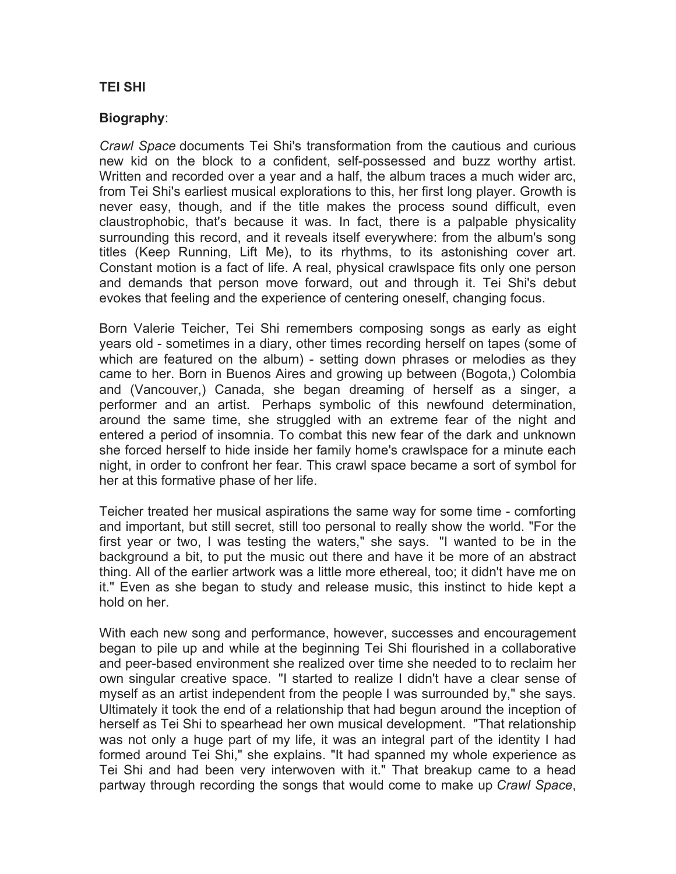## **TEI SHI**

## **Biography**:

*Crawl Space* documents Tei Shi's transformation from the cautious and curious new kid on the block to a confident, self-possessed and buzz worthy artist. Written and recorded over a year and a half, the album traces a much wider arc, from Tei Shi's earliest musical explorations to this, her first long player. Growth is never easy, though, and if the title makes the process sound difficult, even claustrophobic, that's because it was. In fact, there is a palpable physicality surrounding this record, and it reveals itself everywhere: from the album's song titles (Keep Running, Lift Me), to its rhythms, to its astonishing cover art. Constant motion is a fact of life. A real, physical crawlspace fits only one person and demands that person move forward, out and through it. Tei Shi's debut evokes that feeling and the experience of centering oneself, changing focus.

Born Valerie Teicher, Tei Shi remembers composing songs as early as eight years old - sometimes in a diary, other times recording herself on tapes (some of which are featured on the album) - setting down phrases or melodies as they came to her. Born in Buenos Aires and growing up between (Bogota,) Colombia and (Vancouver,) Canada, she began dreaming of herself as a singer, a performer and an artist. Perhaps symbolic of this newfound determination, around the same time, she struggled with an extreme fear of the night and entered a period of insomnia. To combat this new fear of the dark and unknown she forced herself to hide inside her family home's crawlspace for a minute each night, in order to confront her fear. This crawl space became a sort of symbol for her at this formative phase of her life.

Teicher treated her musical aspirations the same way for some time - comforting and important, but still secret, still too personal to really show the world. "For the first year or two, I was testing the waters," she says. "I wanted to be in the background a bit, to put the music out there and have it be more of an abstract thing. All of the earlier artwork was a little more ethereal, too; it didn't have me on it." Even as she began to study and release music, this instinct to hide kept a hold on her.

With each new song and performance, however, successes and encouragement began to pile up and while at the beginning Tei Shi flourished in a collaborative and peer-based environment she realized over time she needed to to reclaim her own singular creative space. "I started to realize I didn't have a clear sense of myself as an artist independent from the people I was surrounded by," she says. Ultimately it took the end of a relationship that had begun around the inception of herself as Tei Shi to spearhead her own musical development. "That relationship was not only a huge part of my life, it was an integral part of the identity I had formed around Tei Shi," she explains. "It had spanned my whole experience as Tei Shi and had been very interwoven with it." That breakup came to a head partway through recording the songs that would come to make up *Crawl Space*,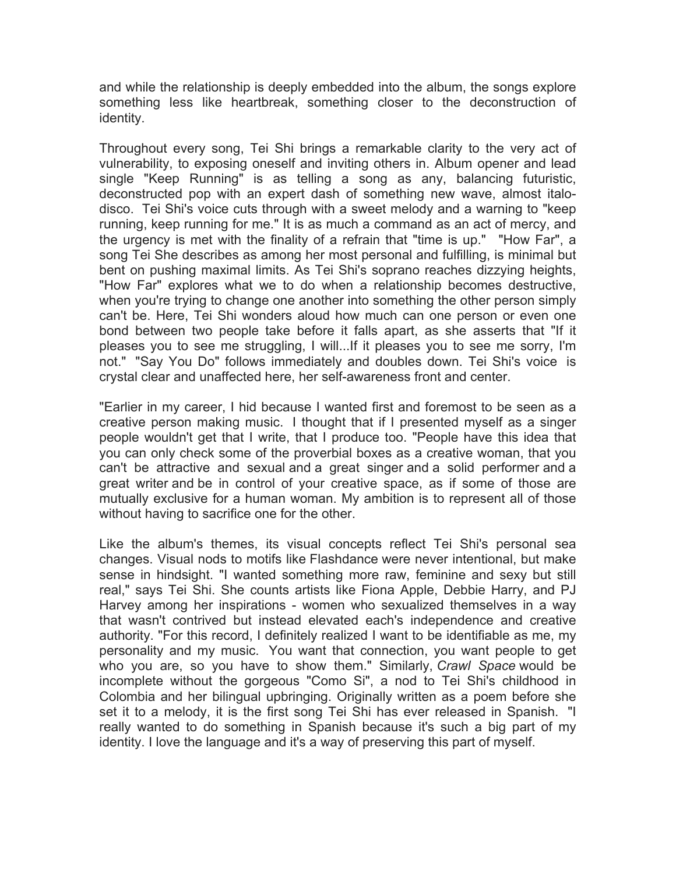and while the relationship is deeply embedded into the album, the songs explore something less like heartbreak, something closer to the deconstruction of identity.

Throughout every song, Tei Shi brings a remarkable clarity to the very act of vulnerability, to exposing oneself and inviting others in. Album opener and lead single "Keep Running" is as telling a song as any, balancing futuristic, deconstructed pop with an expert dash of something new wave, almost italodisco. Tei Shi's voice cuts through with a sweet melody and a warning to "keep running, keep running for me." It is as much a command as an act of mercy, and the urgency is met with the finality of a refrain that "time is up." "How Far", a song Tei She describes as among her most personal and fulfilling, is minimal but bent on pushing maximal limits. As Tei Shi's soprano reaches dizzying heights, "How Far" explores what we to do when a relationship becomes destructive, when you're trying to change one another into something the other person simply can't be. Here, Tei Shi wonders aloud how much can one person or even one bond between two people take before it falls apart, as she asserts that "If it pleases you to see me struggling, I will...If it pleases you to see me sorry, I'm not." "Say You Do" follows immediately and doubles down. Tei Shi's voice is crystal clear and unaffected here, her self-awareness front and center.

"Earlier in my career, I hid because I wanted first and foremost to be seen as a creative person making music. I thought that if I presented myself as a singer people wouldn't get that I write, that I produce too. "People have this idea that you can only check some of the proverbial boxes as a creative woman, that you can't be attractive and sexual and a great singer and a solid performer and a great writer and be in control of your creative space, as if some of those are mutually exclusive for a human woman. My ambition is to represent all of those without having to sacrifice one for the other.

Like the album's themes, its visual concepts reflect Tei Shi's personal sea changes. Visual nods to motifs like Flashdance were never intentional, but make sense in hindsight. "I wanted something more raw, feminine and sexy but still real," says Tei Shi. She counts artists like Fiona Apple, Debbie Harry, and PJ Harvey among her inspirations - women who sexualized themselves in a way that wasn't contrived but instead elevated each's independence and creative authority. "For this record, I definitely realized I want to be identifiable as me, my personality and my music. You want that connection, you want people to get who you are, so you have to show them." Similarly, *Crawl Space* would be incomplete without the gorgeous "Como Si", a nod to Tei Shi's childhood in Colombia and her bilingual upbringing. Originally written as a poem before she set it to a melody, it is the first song Tei Shi has ever released in Spanish. "I really wanted to do something in Spanish because it's such a big part of my identity. I love the language and it's a way of preserving this part of myself.